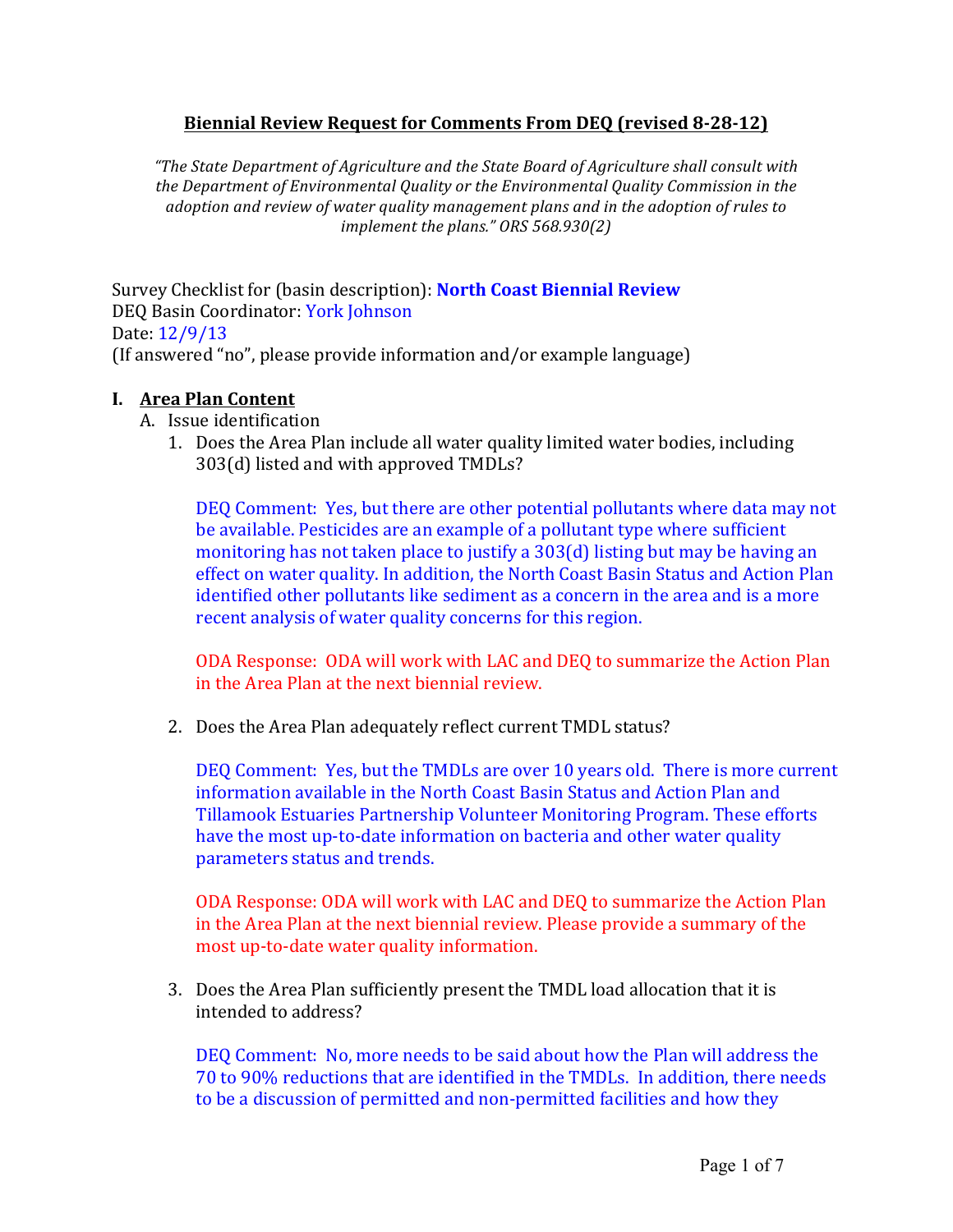# **Biennial'Review'Request'for'Comments'From'DEQ (revised'8;28;12)**

*"The%State%Department%of%Agriculture%and%the%State%Board%of%Agriculture%shall%consult%with%* the Department of Environmental Quality or the Environmental Quality Commission in the *adoption%and review%of%water%quality%management%plans%and%in%the%adoption%of%rules%to% implement the plans." ORS 568.930(2)* 

Survey!Checklist for (basin!description):!**North'Coast'Biennial Review** DEO Basin Coordinator: York Johnson Date: 12/9/13 (If answered "no", please provide information and/or example language)

### **I. Area Plan Content**

- A. Issue identification
	- 1. Does the Area Plan include all water quality limited water bodies, including  $303(d)$  listed and with approved TMDLs?

DEQ Comment: Yes, but there are other potential pollutants where data may not be available. Pesticides are an example of a pollutant type where sufficient monitoring has not taken place to justify a  $303(d)$  listing but may be having an effect on water quality. In addition, the North Coast Basin Status and Action Plan identified other pollutants like sediment as a concern in the area and is a more recent analysis of water quality concerns for this region.

ODA Response: ODA will work with LAC and DEQ to summarize the Action Plan in the Area Plan at the next biennial review.

2. Does the Area Plan adequately reflect current TMDL status?

DEQ Comment: Yes, but the TMDLs are over 10 years old. There is more current information available in the North Coast Basin Status and Action Plan and Tillamook Estuaries Partnership Volunteer Monitoring Program. These efforts have the most up-to-date information on bacteria and other water quality parameters status and trends.

ODA Response: ODA will work with LAC and DEQ to summarize the Action Plan in the Area Plan at the next biennial review. Please provide a summary of the most up-to-date water quality information.

3. Does the Area Plan sufficiently present the TMDL load allocation that it is intended to!address?

DEQ Comment: No, more needs to be said about how the Plan will address the 70 to 90% reductions that are identified in the TMDLs. In addition, there needs to be a discussion of permitted and non-permitted facilities and how they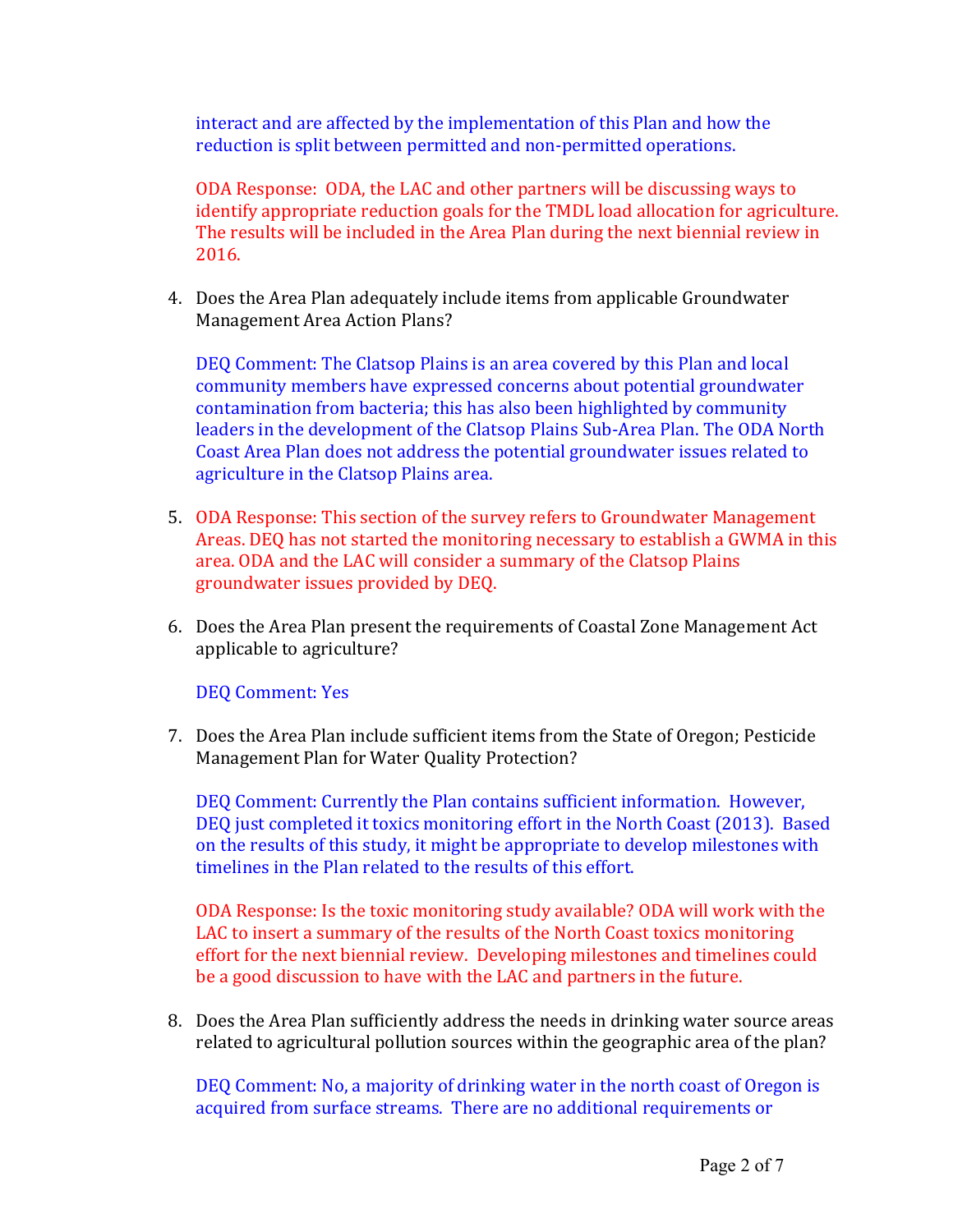interact and are affected by the implementation of this Plan and how the reduction is split between permitted and non-permitted operations.

ODA Response: ODA, the LAC and other partners will be discussing ways to identify appropriate reduction goals for the TMDL load allocation for agriculture. The results will be included in the Area Plan during the next biennial review in 2016.

4. Does the Area Plan adequately include items from applicable Groundwater Management Area Action Plans?

DEO Comment: The Clatsop Plains is an area covered by this Plan and local community members have expressed concerns about potential groundwater contamination from bacteria; this has also been highlighted by community leaders in the development of the Clatsop Plains Sub-Area Plan. The ODA North Coast Area Plan does not address the potential groundwater issues related to agriculture in the Clatsop Plains area.

- 5. ODA Response: This section of the survey refers to Groundwater Management Areas. DEQ has not started the monitoring necessary to establish a GWMA in this area. ODA and the LAC will consider a summary of the Clatsop Plains groundwater issues provided by DEQ.
- 6. Does the Area Plan present the requirements of Coastal Zone Management Act applicable to agriculture?

DEQ Comment: Yes

7. Does the Area Plan include sufficient items from the State of Oregon; Pesticide Management Plan for Water Quality Protection?

DEQ Comment: Currently the Plan contains sufficient information. However, DEQ just completed it toxics monitoring effort in the North Coast (2013). Based on the results of this study, it might be appropriate to develop milestones with timelines in the Plan related to the results of this effort.

ODA Response: Is the toxic monitoring study available? ODA will work with the LAC to insert a summary of the results of the North Coast toxics monitoring effort for the next biennial review. Developing milestones and timelines could be a good discussion to have with the LAC and partners in the future.

8. Does the Area Plan sufficiently address the needs in drinking water source areas related to agricultural pollution sources within the geographic area of the plan?

DEQ Comment: No, a majority of drinking water in the north coast of Oregon is acquired from surface streams. There are no additional requirements or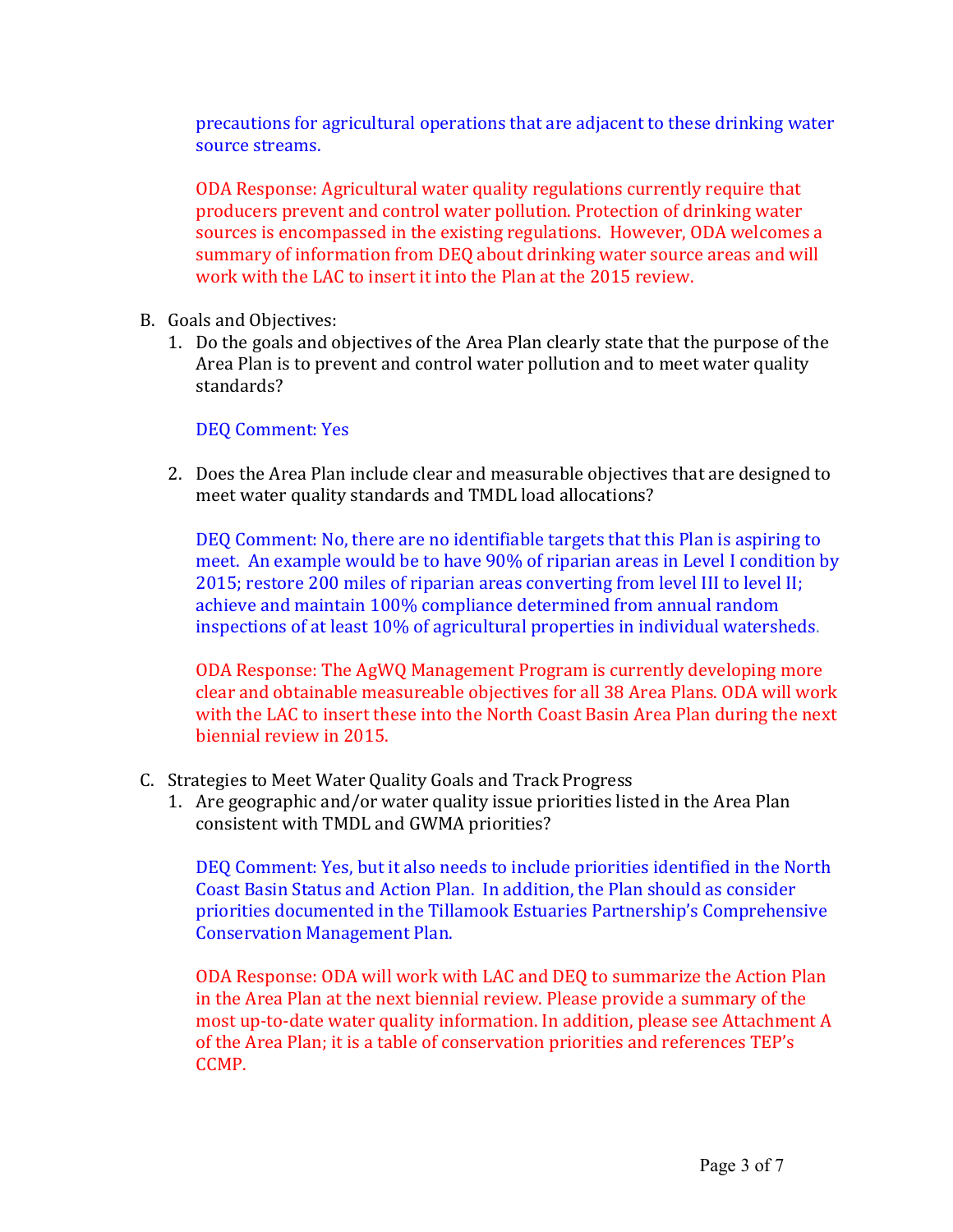precautions for agricultural operations that are adjacent to these drinking water source streams.

ODA Response: Agricultural water quality regulations currently require that producers prevent and control water pollution. Protection of drinking water sources is encompassed in the existing regulations. However, ODA welcomes a summary of information from DEQ about drinking water source areas and will work with the LAC to insert it into the Plan at the 2015 review.

- B. Goals and Objectives:
	- 1. Do the goals and objectives of the Area Plan clearly state that the purpose of the Area Plan is to prevent and control water pollution and to meet water quality standards?

## DEQ Comment: Yes

2. Does the Area Plan include clear and measurable objectives that are designed to meet water quality standards and TMDL load allocations?

DEQ Comment: No, there are no identifiable targets that this Plan is aspiring to meet. An example would be to have 90% of riparian areas in Level I condition by  $2015$ ; restore 200 miles of riparian areas converting from level III to level II: achieve and maintain 100% compliance determined from annual random inspections of at least 10% of agricultural properties in individual watersheds.

ODA Response: The AgWQ Management Program is currently developing more clear and obtainable measureable objectives for all 38 Area Plans. ODA will work with the LAC to insert these into the North Coast Basin Area Plan during the next biennial review in 2015.

- C. Strategies to Meet Water Quality Goals and Track Progress
	- 1. Are geographic and/or water quality issue priorities listed in the Area Plan consistent with TMDL and GWMA priorities?

DEQ Comment: Yes, but it also needs to include priorities identified in the North Coast Basin Status and Action Plan. In addition, the Plan should as consider priorities documented in the Tillamook Estuaries Partnership's Comprehensive **Conservation Management Plan.** 

ODA Response: ODA will work with LAC and DEQ to summarize the Action Plan in the Area Plan at the next biennial review. Please provide a summary of the most up-to-date water quality information. In addition, please see Attachment A of the Area Plan; it is a table of conservation priorities and references TEP's CCMP.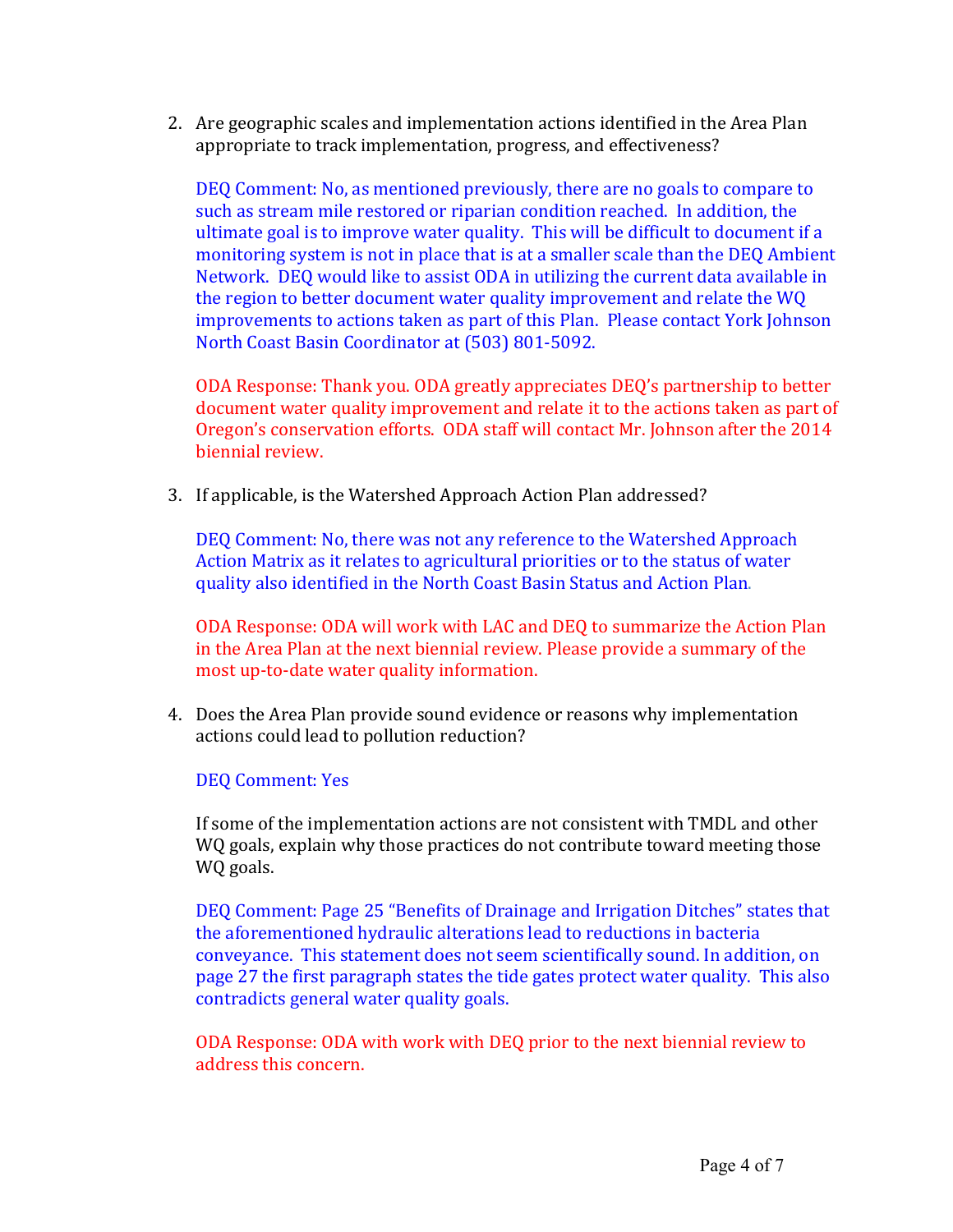2. Are geographic scales and implementation actions identified in the Area Plan appropriate to track implementation, progress, and effectiveness?

DEQ Comment: No, as mentioned previously, there are no goals to compare to such as stream mile restored or riparian condition reached. In addition, the ultimate goal is to improve water quality. This will be difficult to document if a monitoring system is not in place that is at a smaller scale than the DEQ Ambient Network. DEQ would like to assist ODA in utilizing the current data available in the region to better document water quality improvement and relate the WQ improvements to actions taken as part of this Plan. Please contact York Johnson North Coast Basin Coordinator at (503) 801-5092.

ODA Response: Thank you. ODA greatly appreciates DEQ's partnership to better document water quality improvement and relate it to the actions taken as part of Oregon's conservation efforts. ODA staff will contact Mr. Johnson after the 2014 biennial review.

3. If applicable, is the Watershed Approach Action Plan addressed?

DEQ Comment: No, there was not any reference to the Watershed Approach Action Matrix as it relates to agricultural priorities or to the status of water quality also identified in the North Coast Basin Status and Action Plan.

ODA Response: ODA will work with LAC and DEQ to summarize the Action Plan in the Area Plan at the next biennial review. Please provide a summary of the most up-to-date water quality information.

4. Does the Area Plan provide sound evidence or reasons why implementation actions could lead to pollution reduction?

DEQ Comment: Yes

If some of the implementation actions are not consistent with TMDL and other WQ goals, explain why those practices do not contribute toward meeting those WQ goals.

DEQ Comment: Page 25 "Benefits of Drainage and Irrigation Ditches" states that the aforementioned hydraulic alterations lead to reductions in bacteria conveyance. This statement does not seem scientifically sound. In addition, on page 27 the first paragraph states the tide gates protect water quality. This also contradicts general water quality goals.

ODA Response: ODA with work with DEQ prior to the next biennial review to address this concern.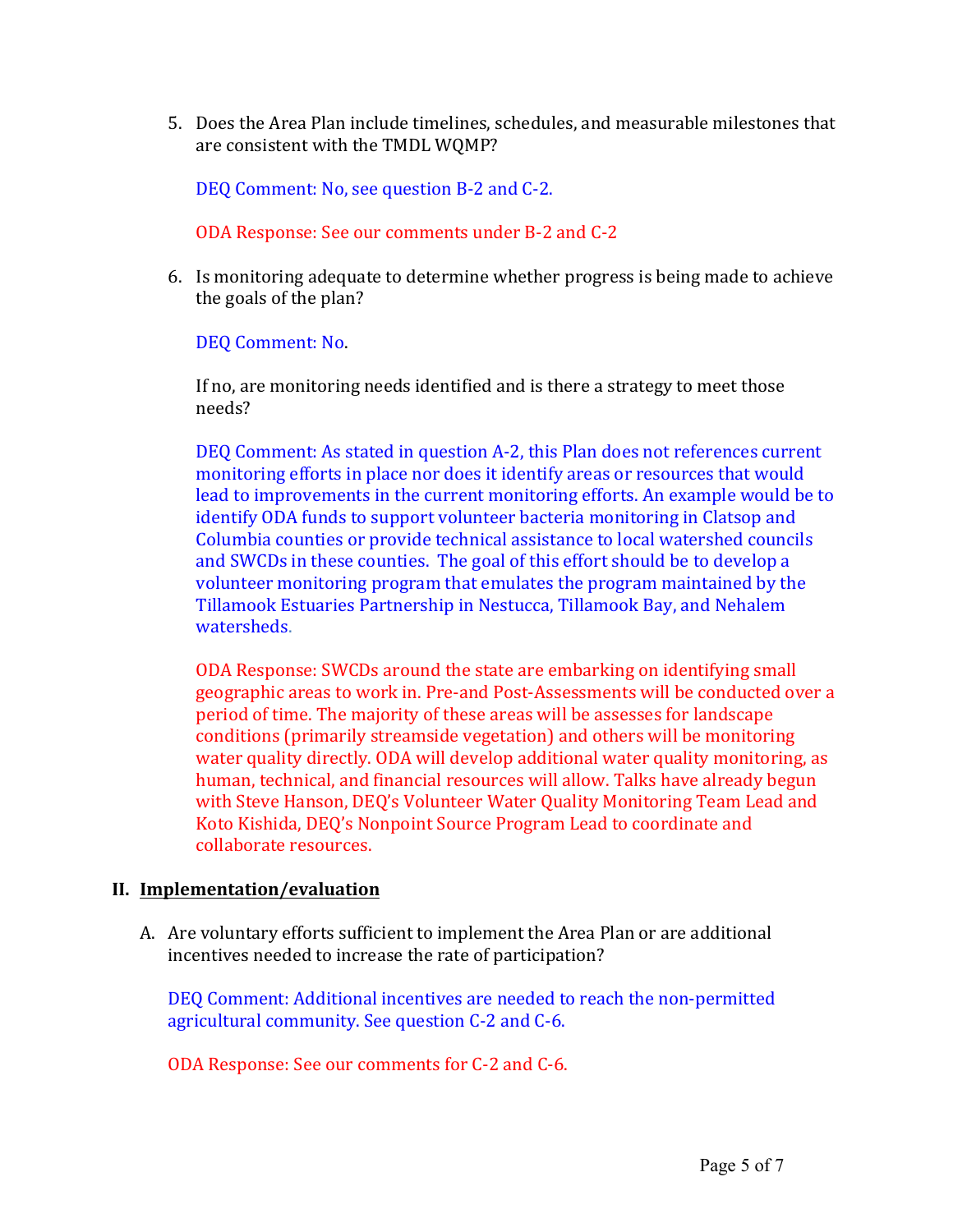5. Does the Area Plan include timelines, schedules, and measurable milestones that are consistent with the TMDL WQMP?

DEO Comment: No, see question B-2 and C-2.

ODA Response: See our comments under B-2 and C-2

6. Is monitoring adequate to determine whether progress is being made to achieve the goals of the plan?

DEQ Comment: No.

If no, are monitoring needs identified and is there a strategy to meet those needs?

DEQ Comment: As stated in question A-2, this Plan does not references current monitoring efforts in place nor does it identify areas or resources that would lead to improvements in the current monitoring efforts. An example would be to identify ODA funds to support volunteer bacteria monitoring in Clatsop and Columbia counties or provide technical assistance to local watershed councils and SWCDs in these counties. The goal of this effort should be to develop a volunteer monitoring program that emulates the program maintained by the Tillamook Estuaries Partnership in Nestucca, Tillamook Bay, and Nehalem watersheds.

ODA Response: SWCDs around the state are embarking on identifying small geographic areas to work in. Pre-and Post-Assessments will be conducted over a period of time. The majority of these areas will be assesses for landscape conditions (primarily streamside vegetation) and others will be monitoring water quality directly. ODA will develop additional water quality monitoring, as human, technical, and financial resources will allow. Talks have already begun with Steve Hanson, DEQ's Volunteer Water Quality Monitoring Team Lead and Koto Kishida, DEO's Nonpoint Source Program Lead to coordinate and collaborate resources.

## **II. Implementation/evaluation**

A. Are voluntary efforts sufficient to implement the Area Plan or are additional incentives needed to increase the rate of participation?

DEQ Comment: Additional incentives are needed to reach the non-permitted agricultural community. See question C-2 and C-6.

ODA Response: See our comments for C-2 and C-6.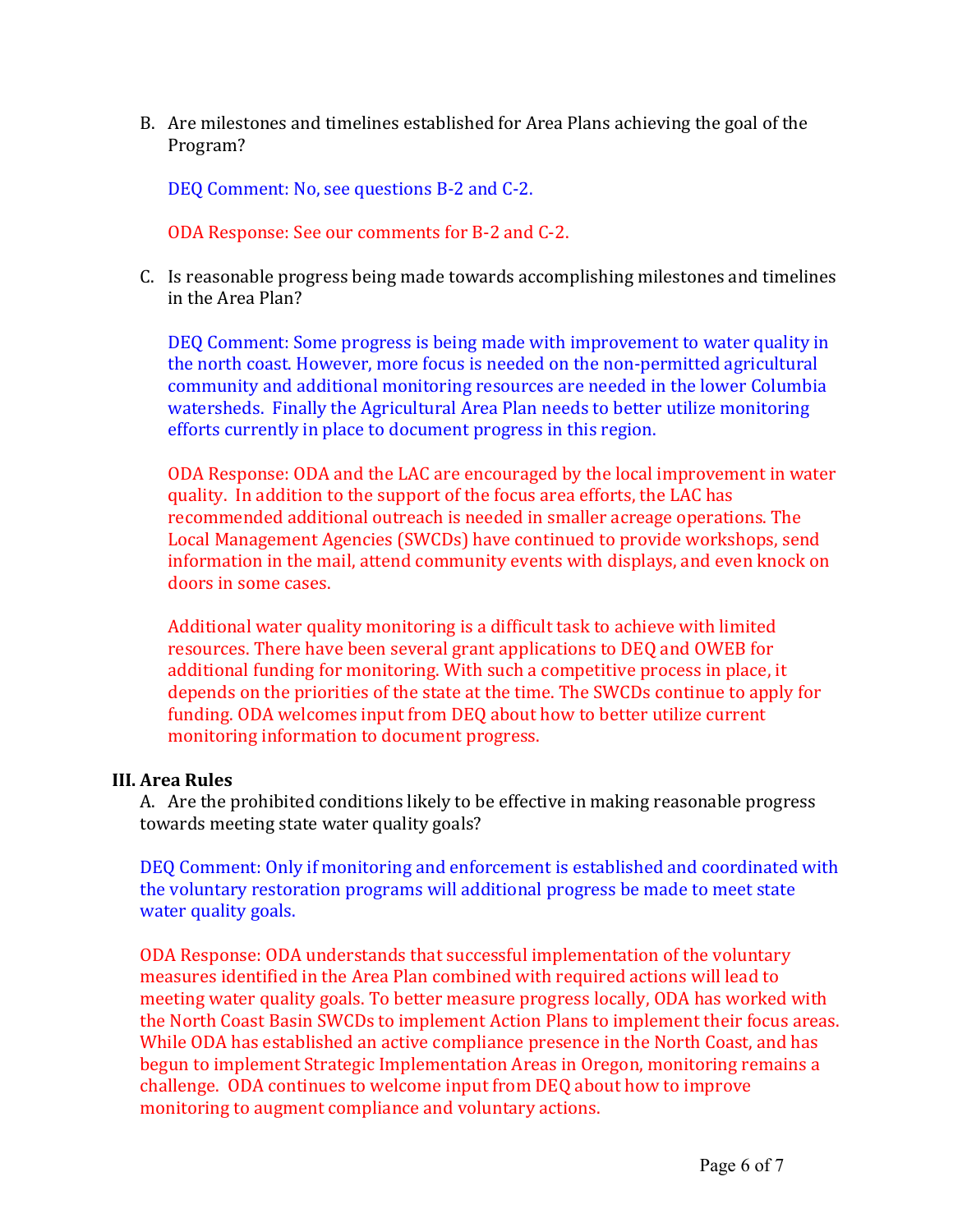B. Are milestones and timelines established for Area Plans achieving the goal of the Program?

DEO Comment: No, see questions B-2 and C-2.

ODA Response: See our comments for B-2 and C-2.

C. Is reasonable progress being made towards accomplishing milestones and timelines in the Area Plan?

DEQ Comment: Some progress is being made with improvement to water quality in the north coast. However, more focus is needed on the non-permitted agricultural community and additional monitoring resources are needed in the lower Columbia watersheds. Finally the Agricultural Area Plan needs to better utilize monitoring efforts currently in place to document progress in this region.

ODA Response: ODA and the LAC are encouraged by the local improvement in water quality. In addition to the support of the focus area efforts, the LAC has recommended additional outreach is needed in smaller acreage operations. The Local Management Agencies (SWCDs) have continued to provide workshops, send information in the mail, attend community events with displays, and even knock on doors in some cases.

Additional water quality monitoring is a difficult task to achieve with limited resources. There have been several grant applications to DEQ and OWEB for additional funding for monitoring. With such a competitive process in place, it depends on the priorities of the state at the time. The SWCDs continue to apply for funding. ODA welcomes input from DEQ about how to better utilize current monitoring information to document progress.

## **III. Area Rules**

A. Are the prohibited conditions likely to be effective in making reasonable progress towards meeting state water quality goals?

DEQ Comment: Only if monitoring and enforcement is established and coordinated with the voluntary restoration programs will additional progress be made to meet state water quality goals.

ODA Response: ODA understands that successful implementation of the voluntary measures identified in the Area Plan combined with required actions will lead to meeting water quality goals. To better measure progress locally, ODA has worked with the North Coast Basin SWCDs to implement Action Plans to implement their focus areas. While ODA has established an active compliance presence in the North Coast, and has begun to implement Strategic Implementation Areas in Oregon, monitoring remains a challenge. ODA continues to welcome input from DEQ about how to improve monitoring to augment compliance and voluntary actions.